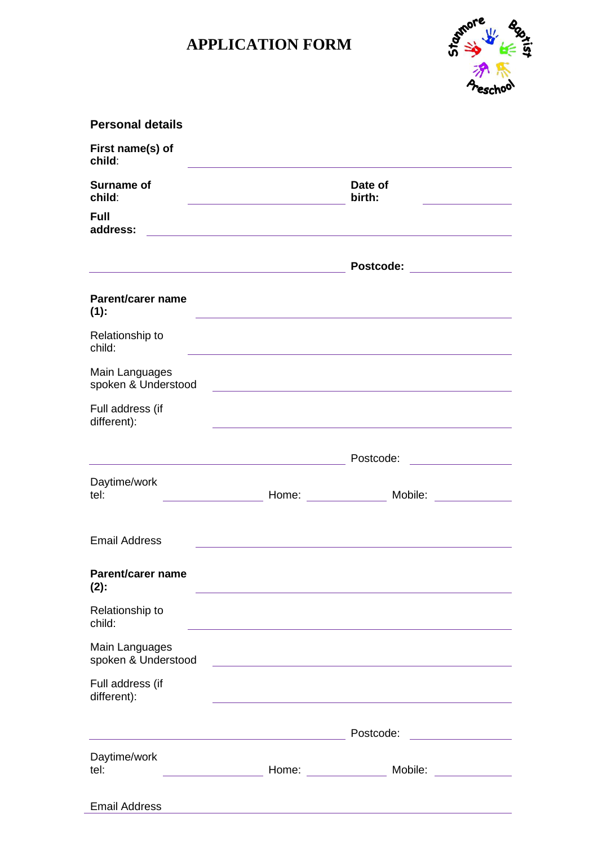## **APPLICATION FORM**



| <b>Personal details</b>                                            |                                                                                               |                                                                                                                  |  |
|--------------------------------------------------------------------|-----------------------------------------------------------------------------------------------|------------------------------------------------------------------------------------------------------------------|--|
| First name(s) of<br>child:                                         |                                                                                               |                                                                                                                  |  |
| <b>Surname of</b><br>child:                                        | Date of<br>birth:                                                                             |                                                                                                                  |  |
| <b>Full</b><br>address:                                            |                                                                                               |                                                                                                                  |  |
|                                                                    |                                                                                               |                                                                                                                  |  |
|                                                                    |                                                                                               |                                                                                                                  |  |
| Parent/carer name<br>(1):                                          |                                                                                               |                                                                                                                  |  |
| Relationship to<br>child:                                          |                                                                                               |                                                                                                                  |  |
| Main Languages<br>spoken & Understood                              |                                                                                               |                                                                                                                  |  |
| Full address (if<br>different):                                    |                                                                                               |                                                                                                                  |  |
|                                                                    |                                                                                               | Postcode:                                                                                                        |  |
| Daytime/work<br>tel:                                               | Home: $\qquad \qquad \qquad$                                                                  | Mobile:                                                                                                          |  |
| <b>Email Address</b>                                               |                                                                                               |                                                                                                                  |  |
| <b>Parent/carer name</b><br>$(2)$ :                                | and the control of the control of the control of the control of the control of the control of |                                                                                                                  |  |
| Relationship to<br>child:                                          |                                                                                               | and the control of the control of the control of the control of the control of the control of the control of the |  |
| Main Languages<br>spoken & Understood                              |                                                                                               |                                                                                                                  |  |
| Full address (if<br>different):                                    |                                                                                               | and the control of the control of the control of the control of the control of the control of the control of the |  |
| <u> 1989 - Johann Barn, fransk politik (d. 1989)</u>               |                                                                                               | Postcode:                                                                                                        |  |
| Daytime/work<br>tel:<br><u> 1999 - Johann Barn, mars ann an t-</u> |                                                                                               | Home: _________________ Mobile: _____________                                                                    |  |
| <b>Email Address</b>                                               |                                                                                               |                                                                                                                  |  |

÷.